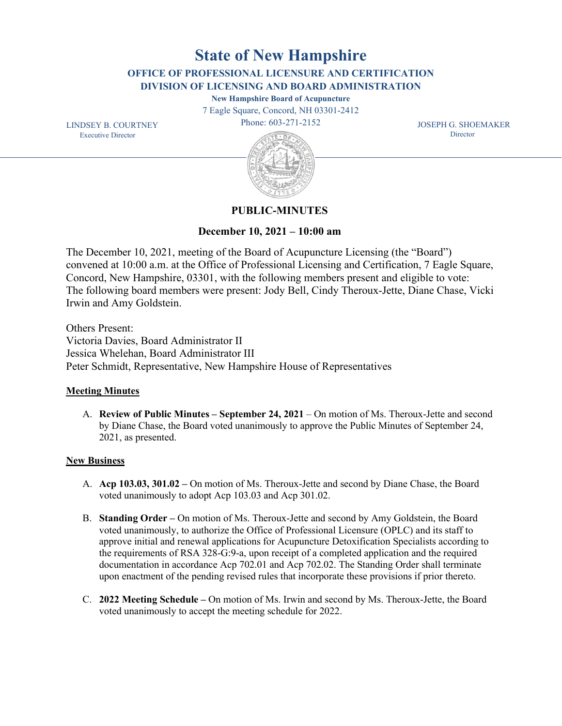**State of New Hampshire**

**OFFICE OF PROFESSIONAL LICENSURE AND CERTIFICATION DIVISION OF LICENSING AND BOARD ADMINISTRATION**

**New Hampshire Board of Acupuncture** 

7 Eagle Square, Concord, NH 03301-2412

Phone: 603-271-2152

 JOSEPH G. SHOEMAKER **Director** 

 LINDSEY B. COURTNEY Executive Director



# **PUBLIC-MINUTES**

**December 10, 2021 – 10:00 am**

The December 10, 2021, meeting of the Board of Acupuncture Licensing (the "Board") convened at 10:00 a.m. at the Office of Professional Licensing and Certification, 7 Eagle Square, Concord, New Hampshire, 03301, with the following members present and eligible to vote: The following board members were present: Jody Bell, Cindy Theroux-Jette, Diane Chase, Vicki Irwin and Amy Goldstein.

Others Present: Victoria Davies, Board Administrator II Jessica Whelehan, Board Administrator III Peter Schmidt, Representative, New Hampshire House of Representatives

## **Meeting Minutes**

A. **Review of Public Minutes – September 24, 2021** – On motion of Ms. Theroux-Jette and second by Diane Chase, the Board voted unanimously to approve the Public Minutes of September 24, 2021, as presented.

## **New Business**

- A. **Acp 103.03, 301.02 –** On motion of Ms. Theroux-Jette and second by Diane Chase, the Board voted unanimously to adopt Acp 103.03 and Acp 301.02.
- B. **Standing Order –** On motion of Ms. Theroux-Jette and second by Amy Goldstein, the Board voted unanimously, to authorize the Office of Professional Licensure (OPLC) and its staff to approve initial and renewal applications for Acupuncture Detoxification Specialists according to the requirements of RSA 328-G:9-a, upon receipt of a completed application and the required documentation in accordance Acp 702.01 and Acp 702.02. The Standing Order shall terminate upon enactment of the pending revised rules that incorporate these provisions if prior thereto.
- C. **2022 Meeting Schedule –** On motion of Ms. Irwin and second by Ms. Theroux-Jette, the Board voted unanimously to accept the meeting schedule for 2022.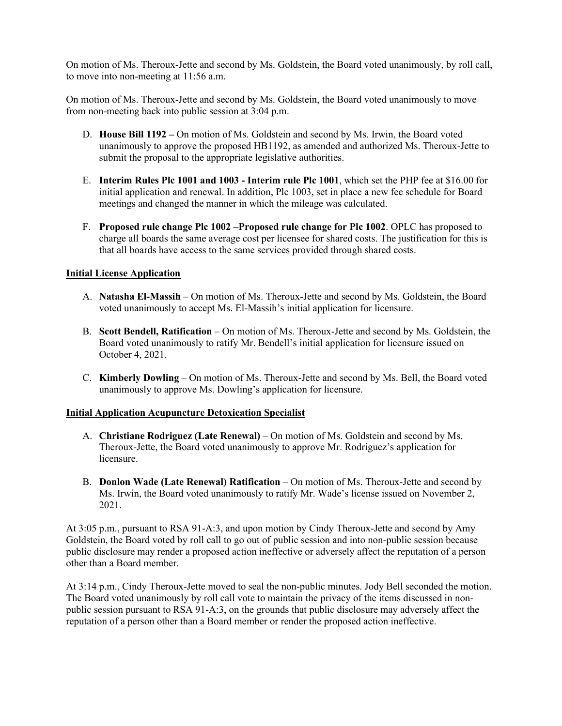On motion of Ms. Theroux-Jette and second by Ms. Goldstein, the Board voted unanimously, by roll call, to move into non-meeting at 11:56 a.m.

On motion of Ms. Theroux-Jette and second by Ms. Goldstein, the Board voted unanimously to move from non-meeting back into public session at 3:04 p.m.

- D. **House Bill 1192 –** On motion of Ms. Goldstein and second by Ms. Irwin, the Board voted unanimously to approve the proposed HB1192, as amended and authorized Ms. Theroux-Jette to submit the proposal to the appropriate legislative authorities.
- E. **Interim Rules Plc 1001 and 1003 - Interim rule Plc 1001**, which set the PHP fee at \$16.00 for initial application and renewal. In addition, Plc 1003, set in place a new fee schedule for Board meetings and changed the manner in which the mileage was calculated.
- F. **Proposed rule change Plc 1002 –Proposed rule change for Plc 1002**. OPLC has proposed to charge all boards the same average cost per licensee for shared costs. The justification for this is that all boards have access to the same services provided through shared costs.

#### **Initial License Application**

- A. **Natasha El-Massih** On motion of Ms. Theroux-Jette and second by Ms. Goldstein, the Board voted unanimously to accept Ms. El-Massih's initial application for licensure.
- B. **Scott Bendell, Ratification** On motion of Ms. Theroux-Jette and second by Ms. Goldstein, the Board voted unanimously to ratify Mr. Bendell's initial application for licensure issued on October 4, 2021.
- C. **Kimberly Dowling** On motion of Ms. Theroux-Jette and second by Ms. Bell, the Board voted unanimously to approve Ms. Dowling's application for licensure.

#### **Initial Application Acupuncture Detoxication Specialist**

- A. **Christiane Rodriguez (Late Renewal)** On motion of Ms. Goldstein and second by Ms. Theroux-Jette, the Board voted unanimously to approve Mr. Rodriguez's application for licensure.
- B. **Donlon Wade (Late Renewal) Ratification** On motion of Ms. Theroux-Jette and second by Ms. Irwin, the Board voted unanimously to ratify Mr. Wade's license issued on November 2, 2021.

At 3:05 p.m., pursuant to RSA 91-A:3, and upon motion by Cindy Theroux-Jette and second by Amy Goldstein, the Board voted by roll call to go out of public session and into non-public session because public disclosure may render a proposed action ineffective or adversely affect the reputation of a person other than a Board member.

At 3:14 p.m., Cindy Theroux-Jette moved to seal the non-public minutes. Jody Bell seconded the motion. The Board voted unanimously by roll call vote to maintain the privacy of the items discussed in nonpublic session pursuant to RSA 91-A:3, on the grounds that public disclosure may adversely affect the reputation of a person other than a Board member or render the proposed action ineffective.